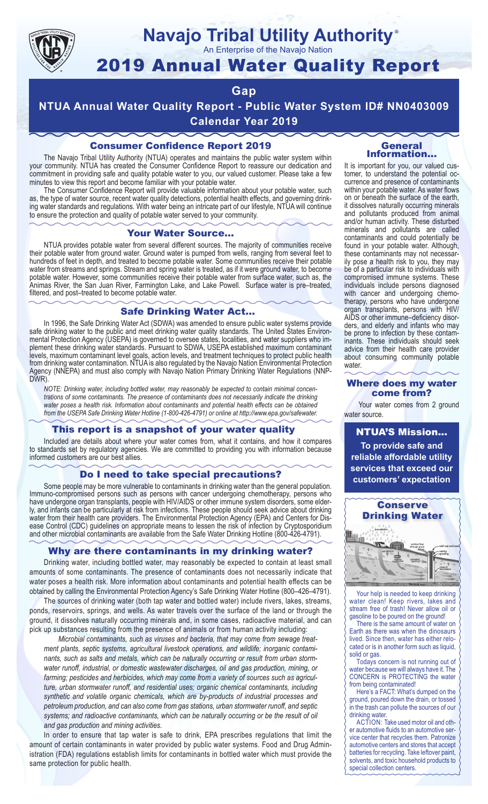

# **Navajo Tribal Utility Authority**

An Enterprise of the Navajo Nation

# 2019 Annual Water Quality Report

### **Gap**

**NTUA Annual Water Quality Report - Public Water System ID# NN0403009 Calendar Year 2019**

### Consumer Confidence Report 2019

The Navajo Tribal Utility Authority (NTUA) operates and maintains the public water system within your community. NTUA has created the Consumer Confidence Report to reassure our dedication and commitment in providing safe and quality potable water to you, our valued customer. Please take a few minutes to view this report and become familiar with your potable water.

The Consumer Confidence Report will provide valuable information about your potable water, such as, the type of water source, recent water quality detections, potential health effects, and governing drinking water standards and regulations. With water being an intricate part of our lifestyle, NTUA will continue to ensure the protection and quality of potable water served to your community.

#### Your Water Source…

NTUA provides potable water from several different sources. The majority of communities receive their potable water from ground water. Ground water is pumped from wells, ranging from several feet to hundreds of feet in depth, and treated to become potable water. Some communities receive their potable water from streams and springs. Stream and spring water is treated, as if it were ground water, to become potable water. However, some communities receive their potable water from surface water, such as, the Animas River, the San Juan River, Farmington Lake, and Lake Powell. Surface water is pre–treated, filtered, and post–treated to become potable water.

#### Safe Drinking Water Act…

In 1996, the Safe Drinking Water Act (SDWA) was amended to ensure public water systems provide safe drinking water to the public and meet drinking water quality standards. The United States Environmental Protection Agency (USEPA) is governed to oversee states, localities, and water suppliers who implement these drinking water standards. Pursuant to SDWA, USEPA established maximum contaminant levels, maximum contaminant level goals, action levels, and treatment techniques to protect public health from drinking water contamination. NTUA is also regulated by the Navajo Nation Environmental Protection Agency (NNEPA) and must also comply with Navajo Nation Primary Drinking Water Regulations (NNP-DWR)

*NOTE: Drinking water, including bottled water, may reasonably be expected to contain minimal concentrations of some contaminants. The presence of contaminants does not necessarily indicate the drinking water poses a health risk. Information about contaminants and potential health effects can be obtained from the USEPA Safe Drinking Water Hotline (1-800-426-4791) or online at http://www.epa.gov/safewater.*

#### This report is a snapshot of your water quality

Included are details about where your water comes from, what it contains, and how it compares to standards set by regulatory agencies. We are committed to providing you with information because informed customers are our best allies.

#### Do I need to take special precautions?

Some people may be more vulnerable to contaminants in drinking water than the general population. Immuno-compromised persons such as persons with cancer undergoing chemotherapy, persons who have undergone organ transplants, people with HIV/AIDS or other immune system disorders, some elderly, and infants can be particularly at risk from infections. These people should seek advice about drinking water from their health care providers. The Environmental Protection Agency (EPA) and Centers for Disease Control (CDC) guidelines on appropriate means to lessen the risk of infection by Cryptosporidium and other microbial contaminants are available from the Safe Water Drinking Hotline (800-426-4791).

#### Why are there contaminants in my drinking water?

Drinking water, including bottled water, may reasonably be expected to contain at least small amounts of some contaminants. The presence of contaminants does not necessarily indicate that water poses a health risk. More information about contaminants and potential health effects can be obtained by calling the Environmental Protection Agency's Safe Drinking Water Hotline (800–426–4791).

The sources of drinking water (both tap water and bottled water) include rivers, lakes, streams, ponds, reservoirs, springs, and wells. As water travels over the surface of the land or through the ground, it dissolves naturally occurring minerals and, in some cases, radioactive material, and can pick up substances resulting from the presence of animals or from human activity including:

*Microbial contaminants, such as viruses and bacteria, that may come from sewage treatment plants, septic systems, agricultural livestock operations, and wildlife; inorganic contaminants, such as salts and metals, which can be naturally occurring or result from urban stormwater runoff, industrial, or domestic wastewater discharges, oil and gas production, mining, or farming; pesticides and herbicides, which may come from a variety of sources such as agriculture, urban stormwater runoff, and residential uses; organic chemical contaminants, including synthetic and volatile organic chemicals, which are by-products of industrial processes and petroleum production, and can also come from gas stations, urban stormwater runoff, and septic systems; and radioactive contaminants, which can be naturally occurring or be the result of oil and gas production and mining activities.*

In order to ensure that tap water is safe to drink, EPA prescribes regulations that limit the amount of certain contaminants in water provided by public water systems. Food and Drug Administration (FDA) regulations establish limits for contaminants in bottled water which must provide the same protection for public health.

#### General Information…

®

It is important for you, our valued customer, to understand the potential occurrence and presence of contaminants within your potable water. As water flows on or beneath the surface of the earth, it dissolves naturally occurring minerals and pollutants produced from animal and/or human activity. These disturbed minerals and pollutants are called contaminants and could potentially be found in your potable water. Although, these contaminants may not necessarily pose a health risk to you, they may be of a particular risk to individuals with compromised immune systems. These individuals include persons diagnosed with cancer and undergoing chemo-<br>therapy, persons who have undergone organ transplants, persons with HIV/ AIDS or other immune–deficiency disor- ders, and elderly and infants who may be prone to infection by these contam-<br>inants. These individuals should seek advice from their health care provider about consuming community potable water.

#### Where does my water come from?

Your water comes from 2 ground water source.

NTUA'S Mission... **To provide safe and reliable affordable utility services that exceed our customers' expectation**



Your help is needed to keep drinking water clean! Keep rivers, lakes and stream free of trash! Never allow oil or gasoline to be poured on the ground!

There is the same amount of water on Earth as there was when the dinosaurs lived. Since then, water has either relocated or is in another form such as liquid, solid or gas.

Todays concern is not running out of water because we will always have it. The CONCERN is PROTECTING the water from being contaminated!

Here's a FACT: What's dumped on the ground, poured down the drain, or tossed in the trash can pollute the sources of our drinking water.

ACTION: Take used motor oil and other automotive fluids to an automotive service center that recycles them. Patronize automotive centers and stores that accept batteries for recycling. Take leftover paint, solvents, and toxic household products to special collection centers.